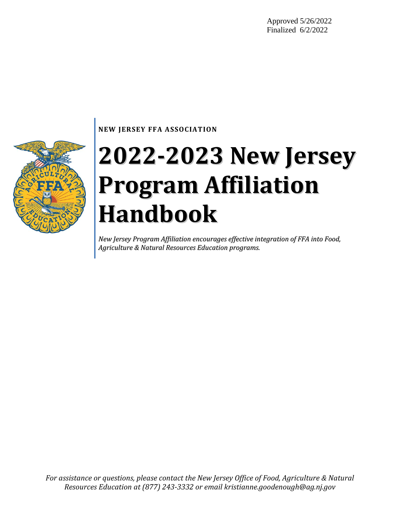Approved 5/26/2022 Finalized 6/2/2022

### **NEW JERSEY FFA ASSOCIATION**

# **2022-2023 New Jersey Program Affiliation Handbook**

*New Jersey Program Affiliation encourages effective integration of FFA into Food, Agriculture & Natural Resources Education programs.*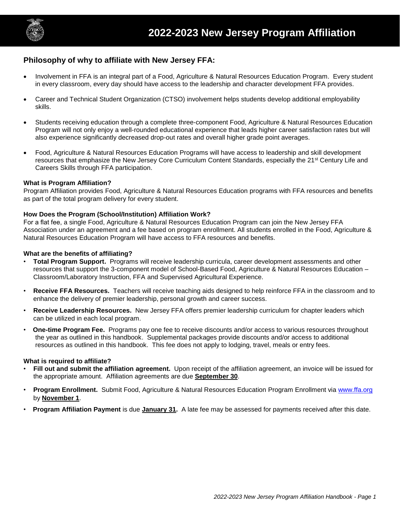

### **Philosophy of why to affiliate with New Jersey FFA:**

- Involvement in FFA is an integral part of a Food, Agriculture & Natural Resources Education Program. Every student in every classroom, every day should have access to the leadership and character development FFA provides.
- Career and Technical Student Organization (CTSO) involvement helps students develop additional employability skills.
- Students receiving education through a complete three-component Food, Agriculture & Natural Resources Education Program will not only enjoy a well-rounded educational experience that leads higher career satisfaction rates but will also experience significantly decreased drop-out rates and overall higher grade point averages.
- Food, Agriculture & Natural Resources Education Programs will have access to leadership and skill development resources that emphasize the New Jersey Core Curriculum Content Standards, especially the 21<sup>st</sup> Century Life and Careers Skills through FFA participation.

### **What is Program Affiliation?**

Program Affiliation provides Food, Agriculture & Natural Resources Education programs with FFA resources and benefits as part of the total program delivery for every student.

### **How Does the Program (School/Institution) Affiliation Work?**

For a flat fee, a single Food, Agriculture & Natural Resources Education Program can join the New Jersey FFA Association under an agreement and a fee based on program enrollment. All students enrolled in the Food, Agriculture & Natural Resources Education Program will have access to FFA resources and benefits.

### **What are the benefits of affiliating?**

- **Total Program Support.** Programs will receive leadership curricula, career development assessments and other resources that support the 3-component model of School-Based Food, Agriculture & Natural Resources Education – Classroom/Laboratory Instruction, FFA and Supervised Agricultural Experience.
- **Receive FFA Resources.** Teachers will receive teaching aids designed to help reinforce FFA in the classroom and to enhance the delivery of premier leadership, personal growth and career success.
- **Receive Leadership Resources.** New Jersey FFA offers premier leadership curriculum for chapter leaders which can be utilized in each local program.
- **One-time Program Fee.** Programs pay one fee to receive discounts and/or access to various resources throughout the year as outlined in this handbook. Supplemental packages provide discounts and/or access to additional resources as outlined in this handbook. This fee does not apply to lodging, travel, meals or entry fees.

### **What is required to affiliate?**

- **Fill out and submit the affiliation agreement.** Upon receipt of the affiliation agreement, an invoice will be issued for the appropriate amount. Affiliation agreements are due **September 30**.
- **Program Enrollment.** Submit Food, Agriculture & Natural Resources Education Program Enrollment via [www.ffa.org](http://www.ffa.org/) by **November 1**.
- **Program Affiliation Payment** is due **January 31.** A late fee may be assessed for payments received after this date.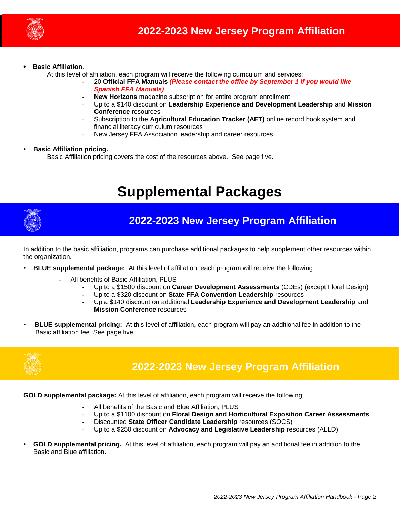

#### **• Basic Affiliation.**

At this level of affiliation, each program will receive the following curriculum and services:

- 20 **Official FFA Manuals** *(Please contact the office by September 1 if you would like Spanish FFA Manuals)*
	- **New Horizons** magazine subscription for entire program enrollment
- Up to a \$140 discount on **Leadership Experience and Development Leadership** and **Mission Conference** resources
- Subscription to the **Agricultural Education Tracker (AET)** online record book system and financial literacy curriculum resources
- New Jersey FFA Association leadership and career resources

#### • **Basic Affiliation pricing.**

Basic Affiliation pricing covers the cost of the resources above. See page five.

# **Supplemental Packages**



# **2022-2023 New Jersey Program Affiliation**

In addition to the basic affiliation, programs can purchase additional packages to help supplement other resources within the organization.

- **BLUE supplemental package:** At this level of affiliation, each program will receive the following:
	- All benefits of Basic Affiliation, PLUS
		- Up to a \$1500 discount on **Career Development Assessments** (CDEs) (except Floral Design)
			- Up to a \$320 discount on **State FFA Convention Leadership** resources
		- Up a \$140 discount on additional **Leadership Experience and Development Leadership** and **Mission Conference** resources
- **BLUE supplemental pricing:** At this level of affiliation, each program will pay an additional fee in addition to the Basic affiliation fee. See page five.



## **2022-2023 New Jersey Program Affiliation**

**GOLD supplemental package:** At this level of affiliation, each program will receive the following:

- All benefits of the Basic and Blue Affiliation, PLUS
- Up to a \$1100 discount on **Floral Design and Horticultural Exposition Career Assessments**
- Discounted **State Officer Candidate Leadership** resources (SOCS)
- Up to a \$250 discount on **Advocacy and Legislative Leadership** resources (ALLD)
- **GOLD supplemental pricing.** At this level of affiliation, each program will pay an additional fee in addition to the Basic and Blue affiliation.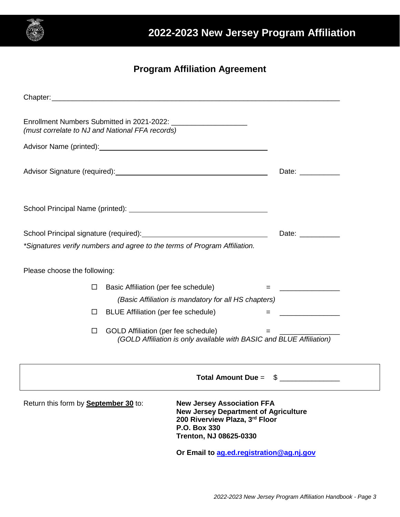

### **Program Affiliation Agreement**

| (must correlate to NJ and National FFA records)                           |                                            |                                                                                                                                                              |                          |  |  |  |
|---------------------------------------------------------------------------|--------------------------------------------|--------------------------------------------------------------------------------------------------------------------------------------------------------------|--------------------------|--|--|--|
|                                                                           |                                            |                                                                                                                                                              |                          |  |  |  |
|                                                                           |                                            | Date: ____________                                                                                                                                           |                          |  |  |  |
|                                                                           |                                            |                                                                                                                                                              |                          |  |  |  |
|                                                                           |                                            |                                                                                                                                                              | Date: ___________        |  |  |  |
| *Signatures verify numbers and agree to the terms of Program Affiliation. |                                            |                                                                                                                                                              |                          |  |  |  |
| Please choose the following:                                              |                                            |                                                                                                                                                              |                          |  |  |  |
| Ш                                                                         | Basic Affiliation (per fee schedule)       |                                                                                                                                                              | = <u>_______________</u> |  |  |  |
|                                                                           |                                            | (Basic Affiliation is mandatory for all HS chapters)                                                                                                         |                          |  |  |  |
| $\Box$                                                                    | <b>BLUE Affiliation (per fee schedule)</b> |                                                                                                                                                              | $=$                      |  |  |  |
| $\Box$                                                                    | GOLD Affiliation (per fee schedule)        | (GOLD Affiliation is only available with BASIC and BLUE Affiliation)                                                                                         | 그는 아이들은 아이들이 아니다.        |  |  |  |
|                                                                           |                                            |                                                                                                                                                              |                          |  |  |  |
| <b>Total Amount Due =</b><br>æ.                                           |                                            |                                                                                                                                                              |                          |  |  |  |
| Return this form by <b>September 30</b> to:                               |                                            | <b>New Jersey Association FFA</b><br><b>New Jersey Department of Agriculture</b><br>200 Riverview Plaza, 3rd Floor<br>P.O. Box 330<br>Trenton, NJ 08625-0330 |                          |  |  |  |

**Or Email to [ag.ed.registration@ag.nj.gov](mailto:ag.ed.registration@ag.nj.gov)**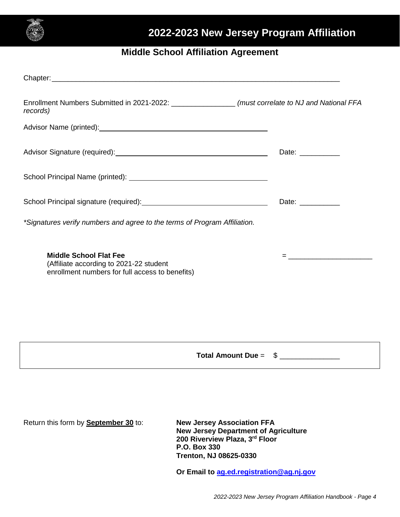

# **2022-2023 New Jersey Program Affiliation**

### **Middle School Affiliation Agreement**

| Enrollment Numbers Submitted in 2021-2022: ___________________ (must correlate to NJ and National FFA<br>records)                                                                                                              |                                                                                                                                                                                                                                                                                                                                                                                                                                                                                                                                |
|--------------------------------------------------------------------------------------------------------------------------------------------------------------------------------------------------------------------------------|--------------------------------------------------------------------------------------------------------------------------------------------------------------------------------------------------------------------------------------------------------------------------------------------------------------------------------------------------------------------------------------------------------------------------------------------------------------------------------------------------------------------------------|
| Advisor Name (printed): Note and the set of the set of the set of the set of the set of the set of the set of the set of the set of the set of the set of the set of the set of the set of the set of the set of the set of th |                                                                                                                                                                                                                                                                                                                                                                                                                                                                                                                                |
| Advisor Signature (required): Manual Advisor Signature (required):                                                                                                                                                             | Date: ___________                                                                                                                                                                                                                                                                                                                                                                                                                                                                                                              |
|                                                                                                                                                                                                                                |                                                                                                                                                                                                                                                                                                                                                                                                                                                                                                                                |
|                                                                                                                                                                                                                                | Date: ___________                                                                                                                                                                                                                                                                                                                                                                                                                                                                                                              |
| *Signatures verify numbers and agree to the terms of Program Affiliation.                                                                                                                                                      |                                                                                                                                                                                                                                                                                                                                                                                                                                                                                                                                |
| <b>Middle School Flat Fee</b><br>(Affiliate according to 2021-22 student<br>enrollment numbers for full access to benefits)                                                                                                    | $=\underbrace{\qquad \qquad }_{\qquad \qquad \qquad }\qquad \qquad ~~\qquad \qquad ~~\qquad \qquad ~~\qquad \qquad ~~\qquad \qquad ~~\qquad \qquad ~~\qquad \qquad ~~\qquad \qquad ~~\qquad \qquad ~~\qquad \qquad ~~\qquad \qquad ~~\qquad \qquad ~~\qquad \qquad ~~\qquad \qquad ~~\qquad \qquad ~~\qquad \qquad ~~\qquad \qquad ~~\qquad \qquad ~~\qquad \qquad ~~\qquad \qquad ~~\qquad \qquad ~~\qquad \qquad ~~\qquad \qquad ~~\qquad \qquad ~~\qquad \qquad ~~\qquad \qquad ~~\qquad \qquad ~~\qquad \qquad ~~\qquad \$ |
|                                                                                                                                                                                                                                |                                                                                                                                                                                                                                                                                                                                                                                                                                                                                                                                |
|                                                                                                                                                                                                                                |                                                                                                                                                                                                                                                                                                                                                                                                                                                                                                                                |
| <b>Total Amount Due =</b>                                                                                                                                                                                                      | $\frac{1}{2}$                                                                                                                                                                                                                                                                                                                                                                                                                                                                                                                  |

Return this form by **September 30** to: **New Jersey Association FFA**

**New Jersey Department of Agriculture 200 Riverview Plaza, 3rd Floor P.O. Box 330 Trenton, NJ 08625-0330**

**Or Email to [ag.ed.registration@ag.nj.gov](mailto:ag.ed.registration@ag.state.nj.us)**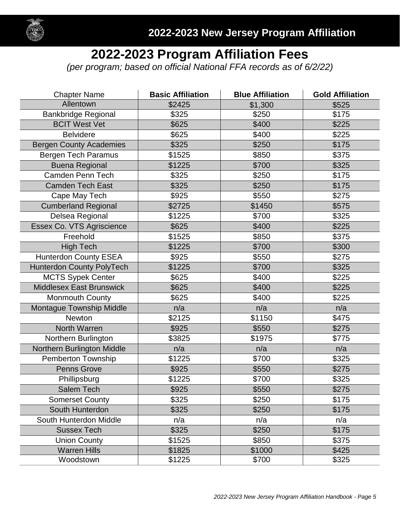

# **2022-2023 Program Affiliation Fees**

*(per program; based on official National FFA records as of 6/2/22)*

| <b>Chapter Name</b>              | <b>Basic Affiliation</b> | <b>Blue Affiliation</b> | <b>Gold Affiliation</b> |
|----------------------------------|--------------------------|-------------------------|-------------------------|
| Allentown                        | \$2425                   | \$1,300                 | \$525                   |
| <b>Bankbridge Regional</b>       | \$325                    | \$250                   | \$175                   |
| <b>BCIT West Vet</b>             | \$625                    | \$400                   | \$225                   |
| <b>Belvidere</b>                 | \$625                    | \$400                   | \$225                   |
| <b>Bergen County Academies</b>   | \$325                    | \$250                   | \$175                   |
| <b>Bergen Tech Paramus</b>       | \$1525                   | \$850                   | \$375                   |
| <b>Buena Regional</b>            | \$1225                   | \$700                   | \$325                   |
| Camden Penn Tech                 | \$325                    | \$250                   | \$175                   |
| <b>Camden Tech East</b>          | \$325                    | \$250                   | \$175                   |
| Cape May Tech                    | \$925                    | \$550                   | \$275                   |
| <b>Cumberland Regional</b>       | \$2725                   | \$1450                  | \$575                   |
| Delsea Regional                  | \$1225                   | \$700                   | \$325                   |
| Essex Co. VTS Agriscience        | \$625                    | \$400                   | \$225                   |
| Freehold                         | \$1525                   | \$850                   | \$375                   |
| <b>High Tech</b>                 | \$1225                   | \$700                   | \$300                   |
| <b>Hunterdon County ESEA</b>     | \$925                    | \$550                   | \$275                   |
| <b>Hunterdon County PolyTech</b> | \$1225                   | \$700                   | \$325                   |
| <b>MCTS Sypek Center</b>         | \$625                    | \$400                   | \$225                   |
| <b>Middlesex East Brunswick</b>  | \$625                    | \$400                   | \$225                   |
| <b>Monmouth County</b>           | \$625                    | \$400                   | \$225                   |
| Montague Township Middle         | n/a                      | n/a                     | n/a                     |
| Newton                           | \$2125                   | \$1150                  | \$475                   |
| <b>North Warren</b>              | \$925                    | \$550                   | \$275                   |
| Northern Burlington              | \$3825                   | \$1975                  | \$775                   |
| Northern Burlington Middle       | n/a                      | n/a                     | n/a                     |
| Pemberton Township               | \$1225                   | \$700                   | \$325                   |
| <b>Penns Grove</b>               | \$925                    | \$550                   | \$275                   |
| Phillipsburg                     | \$1225                   | \$700                   | \$325                   |
| Salem Tech                       | \$925                    | \$550                   | \$275                   |
| <b>Somerset County</b>           | \$325                    | \$250                   | \$175                   |
| South Hunterdon                  | \$325                    | \$250                   | \$175                   |
| South Hunterdon Middle           | n/a                      | n/a                     | n/a                     |
| <b>Sussex Tech</b>               | \$325                    | \$250                   | \$175                   |
| <b>Union County</b>              | \$1525                   | \$850                   | \$375                   |
| <b>Warren Hills</b>              | \$1825                   | \$1000                  | \$425                   |
| Woodstown                        | \$1225                   | \$700                   | \$325                   |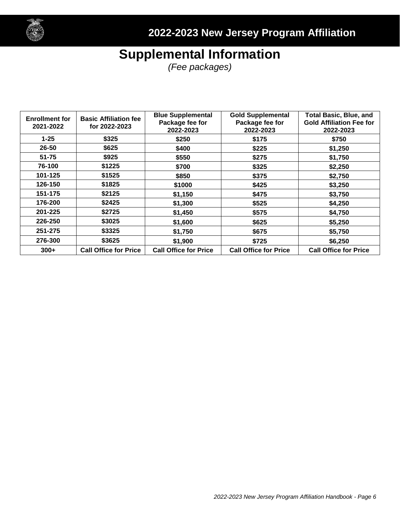

# **Supplemental Information**

*(Fee packages)*

| <b>Enrollment for</b><br>2021-2022 | <b>Basic Affiliation fee</b><br>for 2022-2023 | <b>Blue Supplemental</b><br>Package fee for<br>2022-2023 | <b>Gold Supplemental</b><br>Package fee for<br>2022-2023 | <b>Total Basic, Blue, and</b><br><b>Gold Affiliation Fee for</b><br>2022-2023 |
|------------------------------------|-----------------------------------------------|----------------------------------------------------------|----------------------------------------------------------|-------------------------------------------------------------------------------|
| $1 - 25$                           | \$325                                         | \$250                                                    | \$175                                                    | \$750                                                                         |
| 26-50                              | \$625                                         | \$400                                                    | \$225                                                    | \$1,250                                                                       |
| $51 - 75$                          | \$925                                         | \$550                                                    | \$275                                                    | \$1,750                                                                       |
| 76-100                             | \$1225                                        | \$700                                                    | \$325                                                    | \$2,250                                                                       |
| 101-125                            | \$1525                                        | \$850                                                    | \$375                                                    | \$2,750                                                                       |
| 126-150                            | \$1825                                        | \$1000                                                   | \$425                                                    | \$3,250                                                                       |
| 151-175                            | \$2125                                        | \$1,150                                                  | \$475                                                    | \$3,750                                                                       |
| 176-200                            | \$2425                                        | \$1,300                                                  | \$525                                                    | \$4,250                                                                       |
| 201-225                            | \$2725                                        | \$1,450                                                  | \$575                                                    | \$4,750                                                                       |
| 226-250                            | \$3025                                        | \$1,600                                                  | \$625                                                    | \$5,250                                                                       |
| 251-275                            | \$3325                                        | \$1,750                                                  | \$675                                                    | \$5,750                                                                       |
| 276-300                            | \$3625                                        | \$1,900                                                  | \$725                                                    | \$6,250                                                                       |
| $300+$                             | <b>Call Office for Price</b>                  | <b>Call Office for Price</b>                             | <b>Call Office for Price</b>                             | <b>Call Office for Price</b>                                                  |